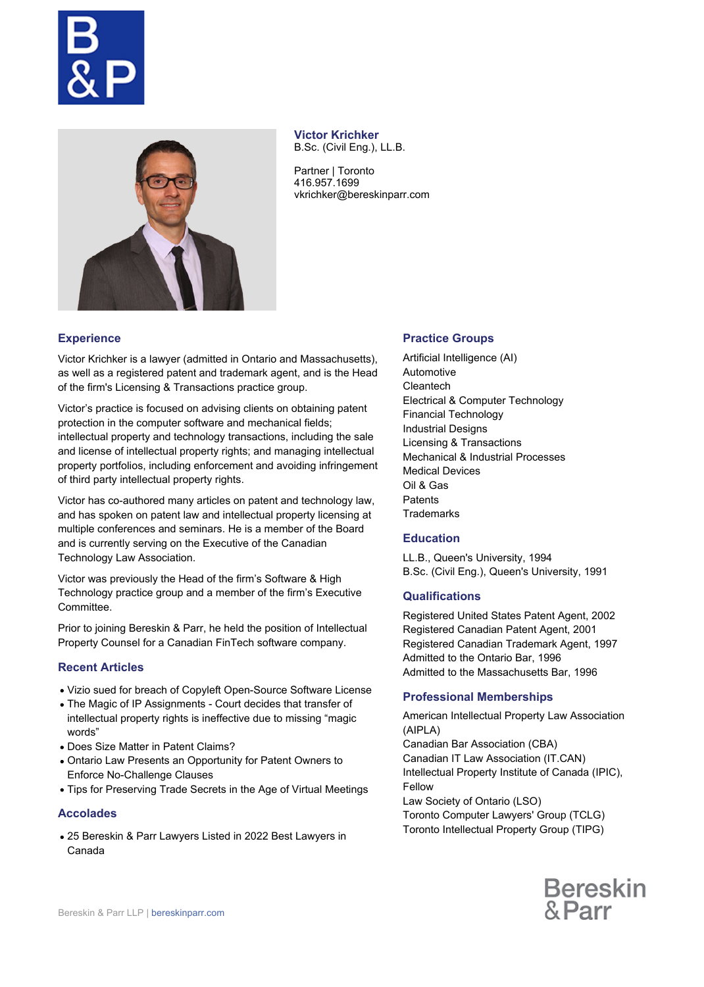



**Victor Krichker** B.Sc. (Civil Eng.), LL.B.

Partner | Toronto 416.957.1699 vkrichker@bereskinparr.com

# **Experience**

Victor Krichker is a lawyer (admitted in Ontario and Massachusetts), as well as a registered patent and trademark agent, and is the Head of the firm's Licensing & Transactions practice group.

Victor's practice is focused on advising clients on obtaining patent protection in the computer software and mechanical fields; intellectual property and technology transactions, including the sale and license of intellectual property rights; and managing intellectual property portfolios, including enforcement and avoiding infringement of third party intellectual property rights.

Victor has co-authored many articles on patent and technology law, and has spoken on patent law and intellectual property licensing at multiple conferences and seminars. He is a member of the Board and is currently serving on the Executive of the Canadian Technology Law Association.

Victor was previously the Head of the firm's Software & High Technology practice group and a member of the firm's Executive Committee.

Prior to joining Bereskin & Parr, he held the position of Intellectual Property Counsel for a Canadian FinTech software company.

## **Recent Articles**

- Vizio sued for breach of Copyleft Open-Source Software License
- The Magic of IP Assignments Court decides that transfer of intellectual property rights is ineffective due to missing "magic words"
- Does Size Matter in Patent Claims?
- Ontario Law Presents an Opportunity for Patent Owners to Enforce No-Challenge Clauses
- Tips for Preserving Trade Secrets in the Age of Virtual Meetings

### **Accolades**

25 Bereskin & Parr Lawyers Listed in 2022 Best Lawyers in Canada

### **Practice Groups**

Artificial Intelligence (AI) Automotive **Cleantech** Electrical & Computer Technology Financial Technology Industrial Designs Licensing & Transactions Mechanical & Industrial Processes Medical Devices Oil & Gas **Patents Trademarks** 

## **Education**

LL.B., Queen's University, 1994 B.Sc. (Civil Eng.), Queen's University, 1991

### **Qualifications**

Registered United States Patent Agent, 2002 Registered Canadian Patent Agent, 2001 Registered Canadian Trademark Agent, 1997 Admitted to the Ontario Bar, 1996 Admitted to the Massachusetts Bar, 1996

## **Professional Memberships**

American Intellectual Property Law Association (AIPLA) Canadian Bar Association (CBA) Canadian IT Law Association (IT.CAN) Intellectual Property Institute of Canada (IPIC), Fellow Law Society of Ontario (LSO) Toronto Computer Lawyers' Group (TCLG) Toronto Intellectual Property Group (TIPG)